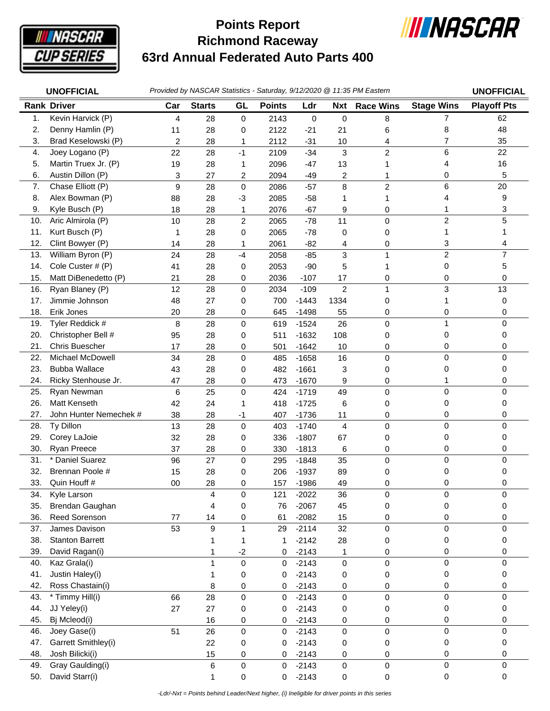

## **Richmond Raceway 63rd Annual Federated Auto Parts 400 Points Report**



|            | <b>UNOFFICIAL</b>              |                         |               |                   |               |                    |                         | Provided by NASCAR Statistics - Saturday, 9/12/2020 @ 11:35 PM Eastern |                   | <b>UNOFFICIAL</b>  |
|------------|--------------------------------|-------------------------|---------------|-------------------|---------------|--------------------|-------------------------|------------------------------------------------------------------------|-------------------|--------------------|
|            | <b>Rank Driver</b>             | Car                     | <b>Starts</b> | GL                | <b>Points</b> | Ldr                | <b>Nxt</b>              | <b>Race Wins</b>                                                       | <b>Stage Wins</b> | <b>Playoff Pts</b> |
| 1.         | Kevin Harvick (P)              | 4                       | 28            | 0                 | 2143          | 0                  | $\mathbf 0$             | 8                                                                      | $\overline{7}$    | 62                 |
| 2.         | Denny Hamlin (P)               | 11                      | 28            | 0                 | 2122          | $-21$              | 21                      | 6                                                                      | 8                 | 48                 |
| 3.         | Brad Keselowski (P)            | $\overline{\mathbf{c}}$ | 28            | 1                 | 2112          | $-31$              | 10                      | 4                                                                      | 7                 | 35                 |
| 4.         | Joey Logano (P)                | 22                      | 28            | $-1$              | 2109          | $-34$              | 3                       | $\overline{c}$                                                         | 6                 | 22                 |
| 5.         | Martin Truex Jr. (P)           | 19                      | 28            | 1                 | 2096          | $-47$              | 13                      |                                                                        | 4                 | 16                 |
| 6.         | Austin Dillon (P)              | 3                       | 27            | 2                 | 2094          | $-49$              | 2                       | 1                                                                      | 0                 | 5                  |
| 7.         | Chase Elliott (P)              | 9                       | 28            | 0                 | 2086          | $-57$              | 8                       | $\overline{c}$                                                         | 6                 | 20                 |
| 8.         | Alex Bowman (P)                | 88                      | 28            | -3                | 2085          | $-58$              | 1                       | 1                                                                      | 4                 | 9                  |
| 9.         | Kyle Busch (P)                 | 18                      | 28            | 1                 | 2076          | $-67$              | 9                       | 0                                                                      | 1                 | 3                  |
| 10.        | Aric Almirola (P)              | 10                      | 28            | 2                 | 2065          | $-78$              | 11                      | 0                                                                      | 2                 | 5                  |
| 11.        | Kurt Busch (P)                 | 1                       | 28            | 0                 | 2065          | $-78$              | 0                       | 0                                                                      | 1                 | 1                  |
| 12.        | Clint Bowyer (P)               | 14                      | 28            | 1                 | 2061          | $-82$              | 4                       | 0                                                                      | 3                 | 4                  |
| 13.        | William Byron (P)              | 24                      | 28            | $-4$              | 2058          | $-85$              | 3                       | 1                                                                      | $\overline{c}$    | $\overline{7}$     |
| 14.        | Cole Custer # (P)              | 41                      | 28            | 0                 | 2053          | $-90$              | 5                       | 1                                                                      | 0                 | 5                  |
| 15.        | Matt DiBenedetto (P)           | 21                      | 28            | 0                 | 2036          | $-107$             | 17                      | 0                                                                      | 0                 | 0                  |
| 16.        | Ryan Blaney (P)                | 12                      | 28            | 0                 | 2034          | $-109$             | $\overline{c}$          | $\mathbf{1}$                                                           | 3                 | 13                 |
| 17.        | Jimmie Johnson                 | 48                      | 27            | 0                 | 700           | $-1443$            | 1334                    | 0                                                                      | 1                 | 0                  |
| 18.        | Erik Jones                     | 20                      | 28            | 0                 | 645           | $-1498$            | 55                      | 0                                                                      | 0                 | 0                  |
| 19.        | Tyler Reddick #                | 8                       | 28            | 0                 | 619           | $-1524$            | 26                      | 0                                                                      | 1                 | 0                  |
| 20.        | Christopher Bell #             | 95                      | 28            | 0                 | 511           | $-1632$            | 108                     | 0                                                                      | 0                 | 0                  |
| 21.        | Chris Buescher                 | 17                      | 28            | 0                 | 501           | $-1642$            | 10                      | 0                                                                      | 0                 | 0                  |
| 22.        | Michael McDowell               | 34                      | 28            | 0                 | 485           | $-1658$            | 16                      | 0                                                                      | 0                 | 0                  |
| 23.        | <b>Bubba Wallace</b>           | 43                      | 28            | 0                 | 482           | $-1661$            | 3                       | 0                                                                      | 0                 | 0                  |
| 24.        | Ricky Stenhouse Jr.            | 47                      | 28            | 0                 | 473           | $-1670$            | 9                       | 0                                                                      |                   | 0                  |
| 25.        | Ryan Newman                    | 6                       | 25            | 0                 | 424           | $-1719$            | 49                      | 0                                                                      | 0                 | 0                  |
| 26.        | <b>Matt Kenseth</b>            | 42                      | 24            | 1                 | 418           | $-1725$            | 6                       | 0                                                                      | 0                 | 0                  |
| 27.        | John Hunter Nemechek #         | 38                      | 28            | -1                | 407           | $-1736$            | 11                      | 0                                                                      | 0                 | 0                  |
| 28.        | Ty Dillon                      | 13                      | 28            | $\pmb{0}$         | 403           | $-1740$            | $\overline{\mathbf{4}}$ | $\pmb{0}$                                                              | $\overline{0}$    | $\Omega$           |
| 29.        | Corey LaJoie                   | 32                      | 28            | 0                 | 336           | $-1807$            | 67                      | 0                                                                      | 0                 | 0                  |
| 30.        | <b>Ryan Preece</b>             | 37                      | 28            | 0                 | 330           | $-1813$            | 6                       | 0                                                                      | 0                 | 0                  |
| 31.        | * Daniel Suarez                | 96                      | 27            | 0                 | 295           | $-1848$            | 35                      | 0                                                                      | $\mathbf 0$       | 0                  |
| 32.        | Brennan Poole #                | 15                      | 28            | 0                 | 206           | $-1937$            | 89                      | 0                                                                      | 0                 | 0                  |
| 33.        | Quin Houff #                   | 00                      | 28            | 0                 | 157           | $-1986$            | 49                      | 0                                                                      | 0                 | 0                  |
| 34.        | Kyle Larson<br>Brendan Gaughan |                         | 4             | 0                 | 121           | $-2022$            | 36                      | 0                                                                      | 0                 | 0                  |
| 35.<br>36. | <b>Reed Sorenson</b>           |                         | 4             | 0                 | 76            | $-2067$<br>$-2082$ | 45                      | 0                                                                      | 0<br>0            | 0<br>0             |
| 37.        | James Davison                  | 77<br>53                | 14<br>9       | 0<br>$\mathbf{1}$ | 61<br>29      | $-2114$            | 15<br>32                | 0<br>0                                                                 | $\mathbf 0$       | 0                  |
| 38.        | <b>Stanton Barrett</b>         |                         | 1             | 1                 | 1             | $-2142$            | 28                      |                                                                        | 0                 | 0                  |
| 39.        | David Ragan(i)                 |                         | 1             | $-2$              | 0             | $-2143$            | 1                       | 0<br>0                                                                 | 0                 | 0                  |
| 40.        | Kaz Grala(i)                   |                         | $\mathbf{1}$  | 0                 | 0             | $-2143$            | 0                       | 0                                                                      | 0                 | 0                  |
| 41.        | Justin Haley(i)                |                         | 1             | 0                 | 0             | $-2143$            | 0                       | 0                                                                      | 0                 | 0                  |
| 42.        | Ross Chastain(i)               |                         | 8             | 0                 | 0             | $-2143$            | 0                       | 0                                                                      | 0                 | 0                  |
| 43.        | * Timmy Hill(i)                | 66                      | 28            | 0                 | 0             | $-2143$            | $\mathbf 0$             | $\mathsf 0$                                                            | $\mathbf 0$       | 0                  |
| 44.        | JJ Yeley(i)                    | 27                      | 27            | 0                 | 0             | $-2143$            | 0                       | 0                                                                      | 0                 | 0                  |
| 45.        | Bj Mcleod(i)                   |                         | 16            | 0                 | 0             | $-2143$            | 0                       | 0                                                                      | 0                 | 0                  |
| 46.        | Joey Gase(i)                   | 51                      | 26            | 0                 | 0             | $-2143$            | 0                       | $\mathsf 0$                                                            | $\mathbf 0$       | 0                  |
| 47.        | Garrett Smithley(i)            |                         | 22            | 0                 | 0             | $-2143$            | 0                       | 0                                                                      | 0                 | 0                  |
| 48.        | Josh Bilicki(i)                |                         | 15            | 0                 | 0             | $-2143$            | 0                       | 0                                                                      | 0                 | 0                  |
| 49.        | Gray Gaulding(i)               |                         | 6             | 0                 | 0             | $-2143$            | 0                       | $\mathsf{O}\xspace$                                                    | 0                 | 0                  |
| 50.        | David Starr(i)                 |                         | 1             | 0                 | $\mathbf 0$   | $-2143$            | 0                       | 0                                                                      | 0                 | 0                  |